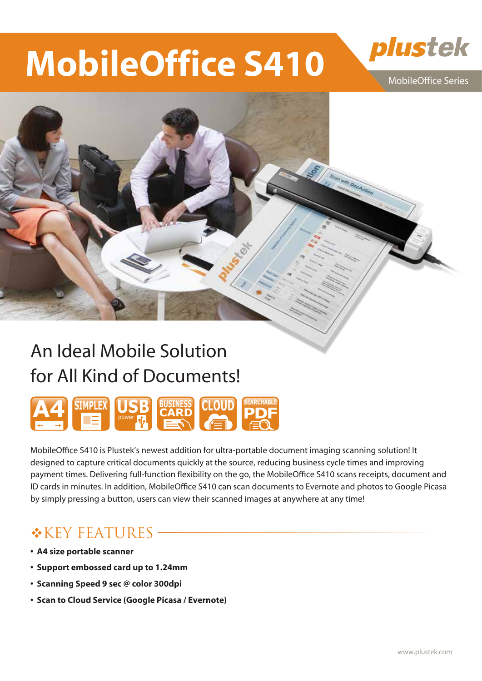# **MobileOffice S410**

MobileOffice Series

plustek

can with Dochetion

# An Ideal Mobile Solution for All Kind of Documents!



MobileOffice S410 is Plustek's newest addition for ultra-portable document imaging scanning solution! It designed to capture critical documents quickly at the source, reducing business cycle times and improving payment times. Delivering full-function flexibility on the go, the MobileOffice S410 scans receipts, document and ID cards in minutes. In addition, MobileOffice S410 can scan documents to Evernote and photos to Google Picasa by simply pressing a button, users can view their scanned images at anywhere at any time!

### **\*KEY FEATURES**

- **A4 size portable scanner**
- **Support embossed card up to 1.24mm**
- **Scanning Speed 9 sec @ color 300dpi**
- **Scan to Cloud Service (Google Picasa / Evernote)**